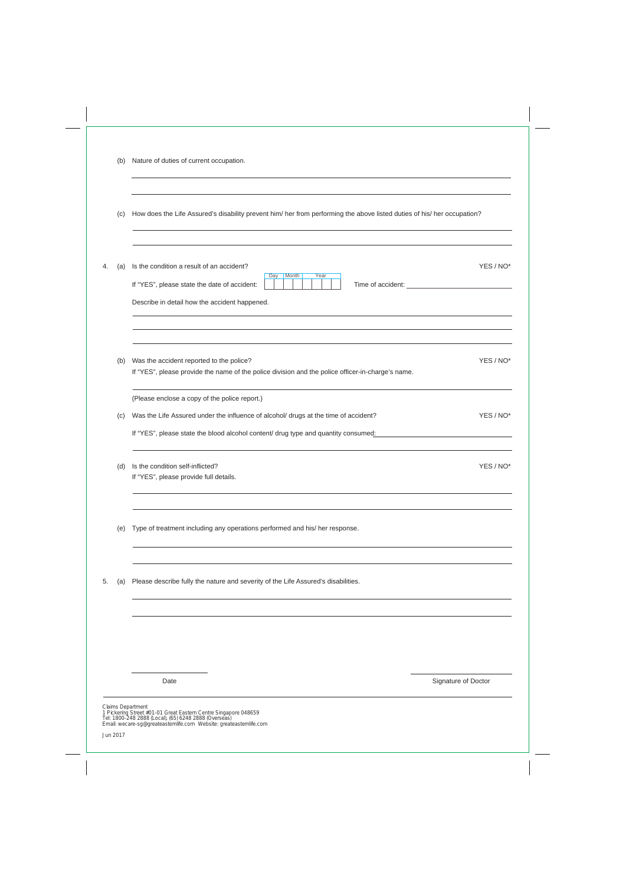|    | (C) | How does the Life Assured's disability prevent him/ her from performing the above listed duties of his/ her occupation?                                                                                                    |           |
|----|-----|----------------------------------------------------------------------------------------------------------------------------------------------------------------------------------------------------------------------------|-----------|
| 4. | (a) | Is the condition a result of an accident?<br>Day<br>Month<br>Year<br>If "YES", please state the date of accident:<br>Describe in detail how the accident happened.                                                         | YES / NO* |
|    | (b) | Was the accident reported to the police?<br>If "YES", please provide the name of the police division and the police officer-in-charge's name.                                                                              | YES / NO* |
|    | (c) | (Please enclose a copy of the police report.)<br>Was the Life Assured under the influence of alcohol/ drugs at the time of accident?<br>If "YES", please state the blood alcohol content/ drug type and quantity consumed: | YES / NO* |
|    | (d) | Is the condition self-inflicted?<br>If "YES", please provide full details.                                                                                                                                                 | YES / NO* |
|    | (e) | Type of treatment including any operations performed and his/ her response.                                                                                                                                                |           |
| 5. | (a) | Please describe fully the nature and severity of the Life Assured's disabilities.                                                                                                                                          |           |
|    |     |                                                                                                                                                                                                                            |           |
|    |     |                                                                                                                                                                                                                            |           |

Date **Signature of Doctor** Signature of Doctor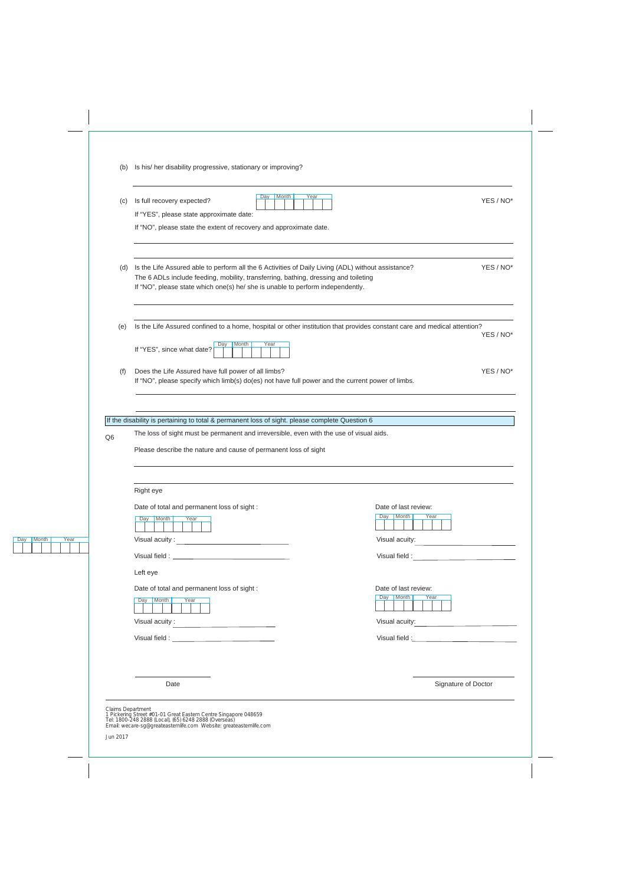| (c)            | Month<br>Day<br>Year<br>Is full recovery expected?<br>If "YES", please state approximate date:                                                                                                                                                                              | YES / NO*                                                                                                                                                                                                                     |
|----------------|-----------------------------------------------------------------------------------------------------------------------------------------------------------------------------------------------------------------------------------------------------------------------------|-------------------------------------------------------------------------------------------------------------------------------------------------------------------------------------------------------------------------------|
|                | If "NO", please state the extent of recovery and approximate date.                                                                                                                                                                                                          |                                                                                                                                                                                                                               |
| (d)            | Is the Life Assured able to perform all the 6 Activities of Daily Living (ADL) without assistance?<br>The 6 ADLs include feeding, mobility, transferring, bathing, dressing and toileting<br>If "NO", please state which one(s) he/ she is unable to perform independently. | YES / NO*                                                                                                                                                                                                                     |
| (e)            | Is the Life Assured confined to a home, hospital or other institution that provides constant care and medical attention?                                                                                                                                                    | YES / NO*                                                                                                                                                                                                                     |
|                | Month<br>Year<br>Day<br>If "YES", since what date?                                                                                                                                                                                                                          |                                                                                                                                                                                                                               |
| (f)            | Does the Life Assured have full power of all limbs?<br>If "NO", please specify which limb(s) do(es) not have full power and the current power of limbs.                                                                                                                     | YES / NO*                                                                                                                                                                                                                     |
|                |                                                                                                                                                                                                                                                                             |                                                                                                                                                                                                                               |
|                | If the disability is pertaining to total & permanent loss of sight. please complete Question 6                                                                                                                                                                              |                                                                                                                                                                                                                               |
| Q <sub>6</sub> | The loss of sight must be permanent and irreversible, even with the use of visual aids.                                                                                                                                                                                     |                                                                                                                                                                                                                               |
|                | Please describe the nature and cause of permanent loss of sight                                                                                                                                                                                                             |                                                                                                                                                                                                                               |
|                | Right eye                                                                                                                                                                                                                                                                   |                                                                                                                                                                                                                               |
|                | Date of total and permanent loss of sight :                                                                                                                                                                                                                                 | Date of last review:                                                                                                                                                                                                          |
|                | Day Month<br>Year                                                                                                                                                                                                                                                           | Month<br>Year<br>Day                                                                                                                                                                                                          |
|                |                                                                                                                                                                                                                                                                             | Visual acuity:                                                                                                                                                                                                                |
|                |                                                                                                                                                                                                                                                                             | Visual field : New York State State State State State State State State State State State State State State State State State State State State State State State State State State State State State State State State State |
|                | Left eye                                                                                                                                                                                                                                                                    |                                                                                                                                                                                                                               |
|                | Date of total and permanent loss of sight :                                                                                                                                                                                                                                 | Date of last review:                                                                                                                                                                                                          |
|                | Day Month<br>Year                                                                                                                                                                                                                                                           | Month<br>Day<br>Year                                                                                                                                                                                                          |
|                | Visual acuity :                                                                                                                                                                                                                                                             | Visual acuity:                                                                                                                                                                                                                |
|                |                                                                                                                                                                                                                                                                             |                                                                                                                                                                                                                               |
|                |                                                                                                                                                                                                                                                                             |                                                                                                                                                                                                                               |
|                | Date                                                                                                                                                                                                                                                                        | Signature of Doctor                                                                                                                                                                                                           |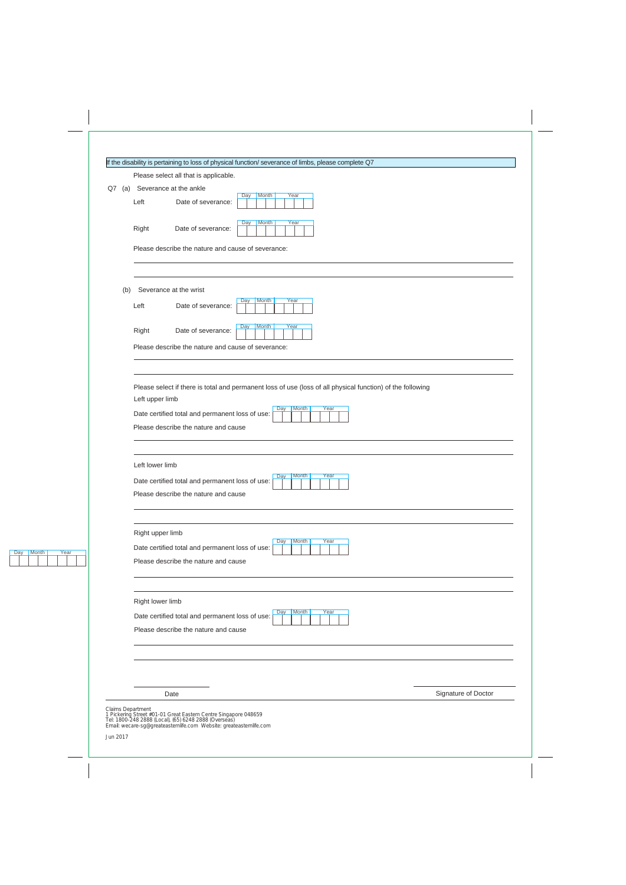| If the disability is pertaining to loss of physical function/ severance of limbs, please complete Q7 |
|------------------------------------------------------------------------------------------------------|
|------------------------------------------------------------------------------------------------------|

Please select all that is applicable.

| Q7 (a)<br>Severance at the ankle<br>Month<br>Year<br>Day<br>Left<br>Date of severance:<br>Month<br>Year<br>Day<br>Right<br>Date of severance:<br>Please describe the nature and cause of severance:<br>Severance at the wrist<br>(b)<br>Month<br>Year<br>Day<br>Left<br>Date of severance:<br><b>Month</b><br>Year<br>Day<br>Right<br>Date of severance:<br>Please describe the nature and cause of severance:<br>Please select if there is total and permanent loss of use (loss of all physical function) of the following<br>Left upper limb<br>Month<br>Year<br>Day<br>Date certified total and permanent loss of use:<br>Please describe the nature and cause<br>Left lower limb<br>Month<br>Year<br>Day<br>Date certified total and permanent loss of use:<br>Please describe the nature and cause<br>Right upper limb<br>Month<br>Day<br>Year<br>Date certified total and permanent loss of use:<br>Please describe the nature and cause<br>Right lower limb<br>Month<br>Year<br>Day<br>Date certified total and permanent loss of use:<br>Please describe the nature and cause | Please select all that is applicable. |  |  |  |  |  |  |  |
|----------------------------------------------------------------------------------------------------------------------------------------------------------------------------------------------------------------------------------------------------------------------------------------------------------------------------------------------------------------------------------------------------------------------------------------------------------------------------------------------------------------------------------------------------------------------------------------------------------------------------------------------------------------------------------------------------------------------------------------------------------------------------------------------------------------------------------------------------------------------------------------------------------------------------------------------------------------------------------------------------------------------------------------------------------------------------------------|---------------------------------------|--|--|--|--|--|--|--|
|                                                                                                                                                                                                                                                                                                                                                                                                                                                                                                                                                                                                                                                                                                                                                                                                                                                                                                                                                                                                                                                                                        |                                       |  |  |  |  |  |  |  |
|                                                                                                                                                                                                                                                                                                                                                                                                                                                                                                                                                                                                                                                                                                                                                                                                                                                                                                                                                                                                                                                                                        |                                       |  |  |  |  |  |  |  |
|                                                                                                                                                                                                                                                                                                                                                                                                                                                                                                                                                                                                                                                                                                                                                                                                                                                                                                                                                                                                                                                                                        |                                       |  |  |  |  |  |  |  |
|                                                                                                                                                                                                                                                                                                                                                                                                                                                                                                                                                                                                                                                                                                                                                                                                                                                                                                                                                                                                                                                                                        |                                       |  |  |  |  |  |  |  |
|                                                                                                                                                                                                                                                                                                                                                                                                                                                                                                                                                                                                                                                                                                                                                                                                                                                                                                                                                                                                                                                                                        |                                       |  |  |  |  |  |  |  |
|                                                                                                                                                                                                                                                                                                                                                                                                                                                                                                                                                                                                                                                                                                                                                                                                                                                                                                                                                                                                                                                                                        |                                       |  |  |  |  |  |  |  |
|                                                                                                                                                                                                                                                                                                                                                                                                                                                                                                                                                                                                                                                                                                                                                                                                                                                                                                                                                                                                                                                                                        |                                       |  |  |  |  |  |  |  |
|                                                                                                                                                                                                                                                                                                                                                                                                                                                                                                                                                                                                                                                                                                                                                                                                                                                                                                                                                                                                                                                                                        |                                       |  |  |  |  |  |  |  |
|                                                                                                                                                                                                                                                                                                                                                                                                                                                                                                                                                                                                                                                                                                                                                                                                                                                                                                                                                                                                                                                                                        |                                       |  |  |  |  |  |  |  |
|                                                                                                                                                                                                                                                                                                                                                                                                                                                                                                                                                                                                                                                                                                                                                                                                                                                                                                                                                                                                                                                                                        |                                       |  |  |  |  |  |  |  |
|                                                                                                                                                                                                                                                                                                                                                                                                                                                                                                                                                                                                                                                                                                                                                                                                                                                                                                                                                                                                                                                                                        |                                       |  |  |  |  |  |  |  |
|                                                                                                                                                                                                                                                                                                                                                                                                                                                                                                                                                                                                                                                                                                                                                                                                                                                                                                                                                                                                                                                                                        |                                       |  |  |  |  |  |  |  |
|                                                                                                                                                                                                                                                                                                                                                                                                                                                                                                                                                                                                                                                                                                                                                                                                                                                                                                                                                                                                                                                                                        |                                       |  |  |  |  |  |  |  |
|                                                                                                                                                                                                                                                                                                                                                                                                                                                                                                                                                                                                                                                                                                                                                                                                                                                                                                                                                                                                                                                                                        |                                       |  |  |  |  |  |  |  |
|                                                                                                                                                                                                                                                                                                                                                                                                                                                                                                                                                                                                                                                                                                                                                                                                                                                                                                                                                                                                                                                                                        |                                       |  |  |  |  |  |  |  |
|                                                                                                                                                                                                                                                                                                                                                                                                                                                                                                                                                                                                                                                                                                                                                                                                                                                                                                                                                                                                                                                                                        |                                       |  |  |  |  |  |  |  |
|                                                                                                                                                                                                                                                                                                                                                                                                                                                                                                                                                                                                                                                                                                                                                                                                                                                                                                                                                                                                                                                                                        |                                       |  |  |  |  |  |  |  |
|                                                                                                                                                                                                                                                                                                                                                                                                                                                                                                                                                                                                                                                                                                                                                                                                                                                                                                                                                                                                                                                                                        |                                       |  |  |  |  |  |  |  |
|                                                                                                                                                                                                                                                                                                                                                                                                                                                                                                                                                                                                                                                                                                                                                                                                                                                                                                                                                                                                                                                                                        |                                       |  |  |  |  |  |  |  |
|                                                                                                                                                                                                                                                                                                                                                                                                                                                                                                                                                                                                                                                                                                                                                                                                                                                                                                                                                                                                                                                                                        |                                       |  |  |  |  |  |  |  |
|                                                                                                                                                                                                                                                                                                                                                                                                                                                                                                                                                                                                                                                                                                                                                                                                                                                                                                                                                                                                                                                                                        |                                       |  |  |  |  |  |  |  |
|                                                                                                                                                                                                                                                                                                                                                                                                                                                                                                                                                                                                                                                                                                                                                                                                                                                                                                                                                                                                                                                                                        |                                       |  |  |  |  |  |  |  |
|                                                                                                                                                                                                                                                                                                                                                                                                                                                                                                                                                                                                                                                                                                                                                                                                                                                                                                                                                                                                                                                                                        |                                       |  |  |  |  |  |  |  |
|                                                                                                                                                                                                                                                                                                                                                                                                                                                                                                                                                                                                                                                                                                                                                                                                                                                                                                                                                                                                                                                                                        |                                       |  |  |  |  |  |  |  |
|                                                                                                                                                                                                                                                                                                                                                                                                                                                                                                                                                                                                                                                                                                                                                                                                                                                                                                                                                                                                                                                                                        |                                       |  |  |  |  |  |  |  |
|                                                                                                                                                                                                                                                                                                                                                                                                                                                                                                                                                                                                                                                                                                                                                                                                                                                                                                                                                                                                                                                                                        |                                       |  |  |  |  |  |  |  |
|                                                                                                                                                                                                                                                                                                                                                                                                                                                                                                                                                                                                                                                                                                                                                                                                                                                                                                                                                                                                                                                                                        |                                       |  |  |  |  |  |  |  |
|                                                                                                                                                                                                                                                                                                                                                                                                                                                                                                                                                                                                                                                                                                                                                                                                                                                                                                                                                                                                                                                                                        |                                       |  |  |  |  |  |  |  |
|                                                                                                                                                                                                                                                                                                                                                                                                                                                                                                                                                                                                                                                                                                                                                                                                                                                                                                                                                                                                                                                                                        |                                       |  |  |  |  |  |  |  |
|                                                                                                                                                                                                                                                                                                                                                                                                                                                                                                                                                                                                                                                                                                                                                                                                                                                                                                                                                                                                                                                                                        |                                       |  |  |  |  |  |  |  |
|                                                                                                                                                                                                                                                                                                                                                                                                                                                                                                                                                                                                                                                                                                                                                                                                                                                                                                                                                                                                                                                                                        |                                       |  |  |  |  |  |  |  |
|                                                                                                                                                                                                                                                                                                                                                                                                                                                                                                                                                                                                                                                                                                                                                                                                                                                                                                                                                                                                                                                                                        |                                       |  |  |  |  |  |  |  |
|                                                                                                                                                                                                                                                                                                                                                                                                                                                                                                                                                                                                                                                                                                                                                                                                                                                                                                                                                                                                                                                                                        |                                       |  |  |  |  |  |  |  |
|                                                                                                                                                                                                                                                                                                                                                                                                                                                                                                                                                                                                                                                                                                                                                                                                                                                                                                                                                                                                                                                                                        | Signature of Doctor<br>Date           |  |  |  |  |  |  |  |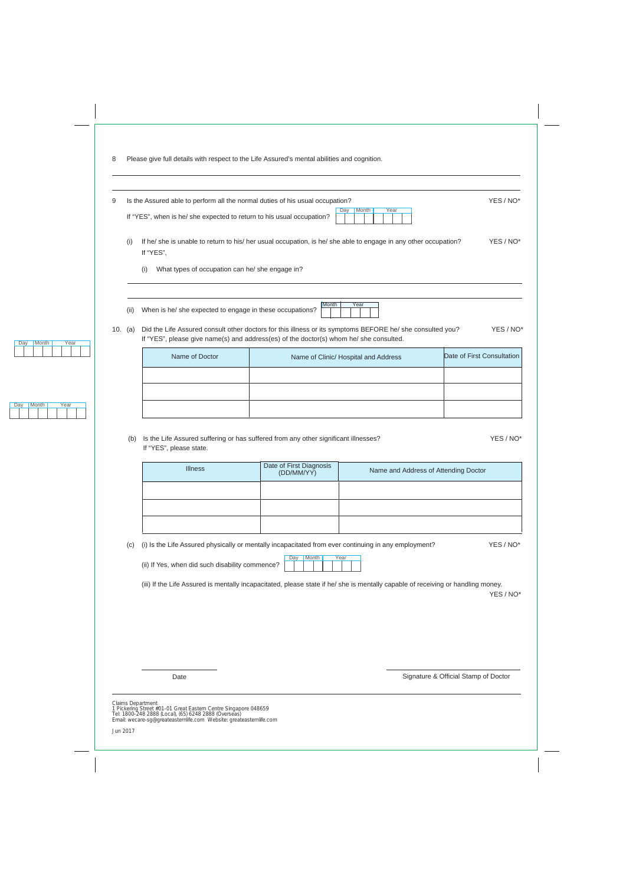| 9   |      | Is the Assured able to perform all the normal duties of his usual occupation? |                                                                                                                                                                                                     | YES / NO*                  |
|-----|------|-------------------------------------------------------------------------------|-----------------------------------------------------------------------------------------------------------------------------------------------------------------------------------------------------|----------------------------|
|     |      | If "YES", when is he/ she expected to return to his usual occupation?         | Day Month<br>Year                                                                                                                                                                                   |                            |
|     | (i)  | If "YES",                                                                     | If he/ she is unable to return to his/ her usual occupation, is he/ she able to engage in any other occupation?                                                                                     | YES / NO <sup>*</sup>      |
|     |      | What types of occupation can he/ she engage in?<br>(i)                        |                                                                                                                                                                                                     |                            |
|     |      |                                                                               |                                                                                                                                                                                                     |                            |
|     | (ii) | When is he/ she expected to engage in these occupations?                      | Month<br>Year                                                                                                                                                                                       |                            |
| 10. | (a)  |                                                                               | Did the Life Assured consult other doctors for this illness or its symptoms BEFORE he/ she consulted you?<br>If "YES", please give name(s) and address(es) of the doctor(s) whom he/ she consulted. | YES / NO*                  |
|     |      | Name of Doctor                                                                | Name of Clinic/ Hospital and Address                                                                                                                                                                | Date of First Consultation |
|     |      |                                                                               |                                                                                                                                                                                                     |                            |

(b) Is the Life Assured suffering or has suffered from any other significant illnesses? YES / NO\* If "YES", please state.

| <b>Illness</b> | Date of First Diagnosis<br>(DD/MM/YY) | Name and Address of Attending Doctor |
|----------------|---------------------------------------|--------------------------------------|
|                |                                       |                                      |
|                |                                       |                                      |
|                |                                       |                                      |

| (c) (i) Is the Life Assured physically or mentally incapacitated from ever continuing in any employment? | YES / NO* |
|----------------------------------------------------------------------------------------------------------|-----------|
|                                                                                                          |           |

(ii) If Yes, when did such disability commence? Day Month Year

(iii) If the Life Assured is mentally incapacitated, please state if he/ she is mentally capable of receiving or handling money.

YES / NO\*

Date

Signature & Official Stamp of Doctor